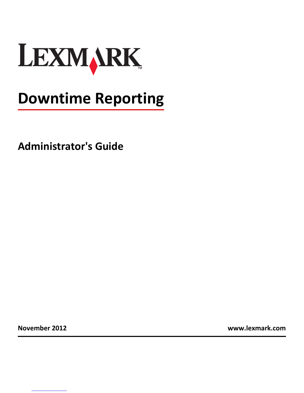

# **Downtime Reporting**

**Administrator's Guide**

**November 2012 www.lexmark.com**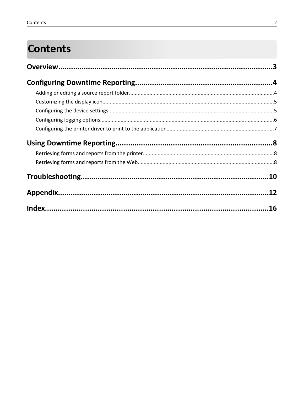## **Contents**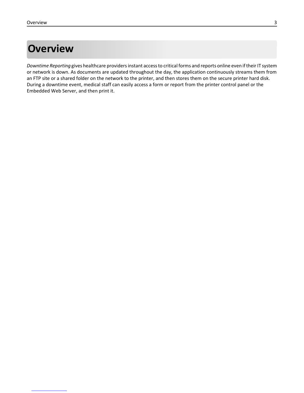## **Overview**

*Downtime Reporting* gives healthcare providers instant access to critical forms and reports online even if their IT system or network is down. As documents are updated throughout the day, the application continuously streams them from an FTP site or a shared folder on the network to the printer, and then stores them on the secure printer hard disk. During a downtime event, medical staff can easily access a form or report from the printer control panel or the Embedded Web Server, and then print it.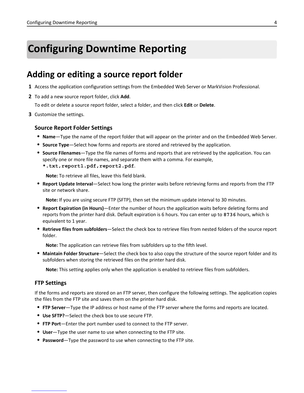## **Configuring Downtime Reporting**

### **Adding or editing a source report folder**

- **1** Access the application configuration settings from the Embedded Web Server or MarkVision Professional.
- **2** To add a new source report folder, click **Add**.

To edit or delete a source report folder, select a folder, and then click **Edit** or **Delete**.

**3** Customize the settings.

#### **Source Report Folder Settings**

- **• Name**—Type the name of the report folder that will appear on the printer and on the Embedded Web Server.
- **• Source Type**—Select how forms and reports are stored and retrieved by the application.
- **• Source Filenames**—Type the file names of forms and reports that are retrieved by the application. You can specify one or more file names, and separate them with a comma. For example,
	- **\*.txt,report1.pdf,report2.pdf**.

**Note:** To retrieve all files, leave this field blank.

**• Report Update Interval**—Select how long the printer waits before retrieving forms and reports from the FTP site or network share.

**Note:** If you are using secure FTP (SFTP), then set the minimum update interval to 30 minutes.

- **• Report Expiration (in Hours)**—Enter the number of hours the application waits before deleting forms and reports from the printer hard disk. Default expiration is 6 hours. You can enter up to **8736** hours, which is equivalent to 1 year.
- **• Retrieve files from subfolders**—Select the check box to retrieve files from nested folders of the source report folder.

**Note:** The application can retrieve files from subfolders up to the fifth level.

**• Maintain Folder Structure**—Select the check box to also copy the structure of the source report folder and its subfolders when storing the retrieved files on the printer hard disk.

**Note:** This setting applies only when the application is enabled to retrieve files from subfolders.

#### **FTP Settings**

If the forms and reports are stored on an FTP server, then configure the following settings. The application copies the files from the FTP site and saves them on the printer hard disk.

- **• FTP Server**—Type the IP address or host name of the FTP server where the forms and reports are located.
- **• Use SFTP?**—Select the check box to use secure FTP.
- **• FTP Port**—Enter the port number used to connect to the FTP server.
- **• User**—Type the user name to use when connecting to the FTP site.
- **• Password**—Type the password to use when connecting to the FTP site.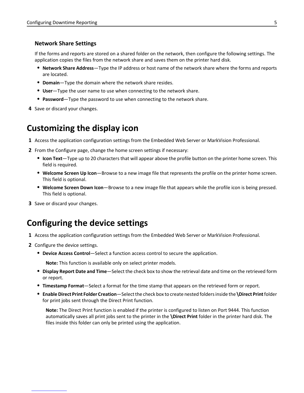#### **Network Share Settings**

If the forms and reports are stored on a shared folder on the network, then configure the following settings. The application copies the files from the network share and saves them on the printer hard disk.

- **• Network Share Address**—Type the IP address or host name of the network share where the forms and reports are located.
- **• Domain**—Type the domain where the network share resides.
- **• User**—Type the user name to use when connecting to the network share.
- **• Password**—Type the password to use when connecting to the network share.
- **4** Save or discard your changes.

### **Customizing the display icon**

- **1** Access the application configuration settings from the Embedded Web Server or MarkVision Professional.
- **2** From the Configure page, change the home screen settings if necessary:
	- **• Icon Text**—Type up to 20 characters that will appear above the profile button on the printer home screen. This field is required.
	- **• Welcome Screen Up Icon**—Browse to a new image file that represents the profile on the printer home screen. This field is optional.
	- **• Welcome Screen Down Icon**—Browse to a new image file that appears while the profile icon is being pressed. This field is optional.
- **3** Save or discard your changes.

### **Configuring the device settings**

- **1** Access the application configuration settings from the Embedded Web Server or MarkVision Professional.
- **2** Configure the device settings.
	- **• Device Access Control**—Select a function access control to secure the application.

**Note:** This function is available only on select printer models.

- **• Display Report Date and Time**—Select the check box to show the retrieval date and time on the retrieved form or report.
- **• Timestamp Format**—Select a format for the time stamp that appears on the retrieved form or report.
- **• Enable Direct Print Folder Creation**—Select the check box to create nested folders inside the **\Direct Print** folder for print jobs sent through the Direct Print function.

**Note:** The Direct Print function is enabled if the printer is configured to listen on Port 9444. This function automatically saves all print jobs sent to the printer in the **\Direct Print** folder in the printer hard disk. The files inside this folder can only be printed using the application.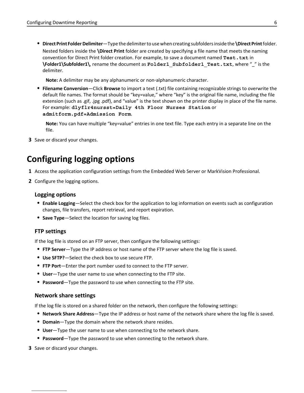**• Direct Print Folder Delimiter**—Type the delimiter to use when creating subfolders inside the **\Direct Print** folder. Nested folders inside the **\Direct Print** folder are created by specifying a file name that meets the naming convention for Direct Print folder creation. For example, to save a document named **Test.txt** in **\Folder1\Subfolder1\**, rename the document as **Folder1\_Subfolder1\_Test.txt**, where "\_" is the delimiter.

**Note:** A delimiter may be any alphanumeric or non‑alphanumeric character.

**• Filename Conversion**—Click **Browse** to import a text (.txt) file containing recognizable strings to overwrite the default file names. The format should be "key=value," where "key" is the original file name, including the file extension (such as .gif, .jpg .pdf), and "value" is the text shown on the printer display in place of the file name. For example: **dlyflr4nursst=Daily 4th Floor Nurses Station** or **admitform.pdf=Admission Form**.

**Note:** You can have multiple "key=value" entries in one text file. Type each entry in a separate line on the file.

**3** Save or discard your changes.

### **Configuring logging options**

- **1** Access the application configuration settings from the Embedded Web Server or MarkVision Professional.
- **2** Configure the logging options.

#### **Logging options**

- **• Enable Logging**—Select the check box for the application to log information on events such as configuration changes, file transfers, report retrieval, and report expiration.
- **• Save Type**—Select the location for saving log files.

#### **FTP settings**

If the log file is stored on an FTP server, then configure the following settings:

- **• FTP Server**—Type the IP address or host name of the FTP server where the log file is saved.
- **• Use SFTP?**—Select the check box to use secure FTP.
- **• FTP Port**—Enter the port number used to connect to the FTP server.
- **• User**—Type the user name to use when connecting to the FTP site.
- **• Password**—Type the password to use when connecting to the FTP site.

#### **Network share settings**

If the log file is stored on a shared folder on the network, then configure the following settings:

- **• Network Share Address**—Type the IP address or host name of the network share where the log file is saved.
- **• Domain**—Type the domain where the network share resides.
- **• User**—Type the user name to use when connecting to the network share.
- **• Password**—Type the password to use when connecting to the network share.
- **3** Save or discard your changes.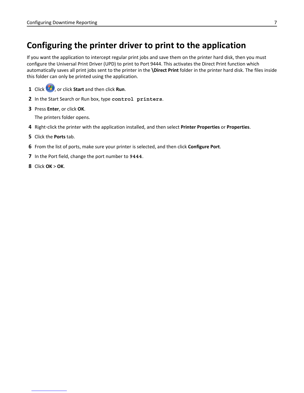## **Configuring the printer driver to print to the application**

If you want the application to intercept regular print jobs and save them on the printer hard disk, then you must configure the Universal Print Driver (UPD) to print to Port 9444. This activates the Direct Print function which automatically saves all print jobs sent to the printer in the **\Direct Print** folder in the printer hard disk. The files inside this folder can only be printed using the application.

- **1** Click **f**, or click **Start** and then click **Run**.
- **2** In the Start Search or Run box, type **control printers**.
- **3** Press **Enter**, or click **OK**.

The printers folder opens.

- **4** Right‑click the printer with the application installed, and then select **Printer Properties** or **Properties**.
- **5** Click the **Ports** tab.
- **6** From the list of ports, make sure your printer is selected, and then click **Configure Port**.
- **7** In the Port field, change the port number to **9444**.
- **8** Click **OK** > **OK**.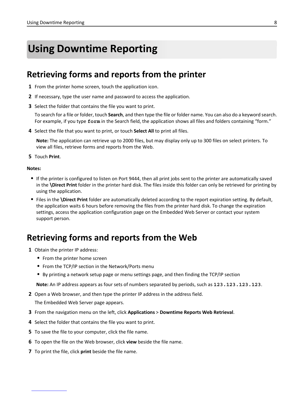## **Using Downtime Reporting**

### **Retrieving forms and reports from the printer**

- **1** From the printer home screen, touch the application icon.
- **2** If necessary, type the user name and password to access the application.
- **3** Select the folder that contains the file you want to print.

To search for a file or folder, touch **Search**, and then type the file or folder name. You can also do a keyword search. For example, if you type **form** in the Search field, the application shows all files and folders containing "form."

**4** Select the file that you want to print, or touch **Select All** to print all files.

**Note:** The application can retrieve up to 2000 files, but may display only up to 300 files on select printers. To view all files, retrieve forms and reports from the Web.

#### **5** Touch **Print**.

#### **Notes:**

- **•** If the printer is configured to listen on Port 9444, then all print jobs sent to the printer are automatically saved in the **\Direct Print** folder in the printer hard disk. The files inside this folder can only be retrieved for printing by using the application.
- **•** Files in the **\Direct Print** folder are automatically deleted according to the report expiration setting. By default, the application waits 6 hours before removing the files from the printer hard disk. To change the expiration settings, access the application configuration page on the Embedded Web Server or contact your system support person.

### **Retrieving forms and reports from the Web**

- **1** Obtain the printer IP address:
	- **•** From the printer home screen
	- **•** From the TCP/IP section in the Network/Ports menu
	- **•** By printing a network setup page or menu settings page, and then finding the TCP/IP section

**Note:** An IP address appears as four sets of numbers separated by periods, such as **123.123.123.123**.

**2** Open a Web browser, and then type the printer IP address in the address field.

The Embedded Web Server page appears.

- **3** From the navigation menu on the left, click **Applications** > **Downtime Reports Web Retrieval**.
- **4** Select the folder that contains the file you want to print.
- **5** To save the file to your computer, click the file name.
- **6** To open the file on the Web browser, click **view** beside the file name.
- **7** To print the file, click **print** beside the file name.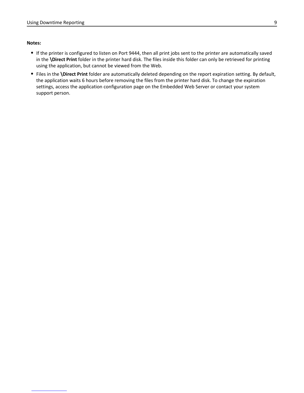#### **Notes:**

- **•** If the printer is configured to listen on Port 9444, then all print jobs sent to the printer are automatically saved in the **\Direct Print** folder in the printer hard disk. The files inside this folder can only be retrieved for printing using the application, but cannot be viewed from the Web.
- **•** Files in the **\Direct Print** folder are automatically deleted depending on the report expiration setting. By default, the application waits 6 hours before removing the files from the printer hard disk. To change the expiration settings, access the application configuration page on the Embedded Web Server or contact your system support person.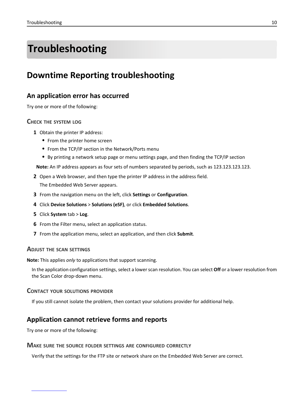## **Troubleshooting**

### **Downtime Reporting troubleshooting**

#### **An application error has occurred**

Try one or more of the following:

#### **CHECK THE SYSTEM LOG**

- **1** Obtain the printer IP address:
	- **•** From the printer home screen
	- **•** From the TCP/IP section in the Network/Ports menu
	- **•** By printing a network setup page or menu settings page, and then finding the TCP/IP section

**Note:** An IP address appears as four sets of numbers separated by periods, such as 123.123.123.123.

**2** Open a Web browser, and then type the printer IP address in the address field.

The Embedded Web Server appears.

- **3** From the navigation menu on the left, click **Settings** or **Configuration**.
- **4** Click **Device Solutions** > **Solutions (eSF)**, or click **Embedded Solutions**.
- **5** Click **System** tab > **Log**.
- **6** From the Filter menu, select an application status.
- **7** From the application menu, select an application, and then click **Submit**.

#### **ADJUST THE SCAN SETTINGS**

**Note:** This applies *only* to applications that support scanning.

In the application configuration settings, select a lower scan resolution. You can select **Off** or a lower resolution from the Scan Color drop‑down menu.

#### **CONTACT YOUR SOLUTIONS PROVIDER**

If you still cannot isolate the problem, then contact your solutions provider for additional help.

#### **Application cannot retrieve forms and reports**

Try one or more of the following:

#### **MAKE SURE THE SOURCE FOLDER SETTINGS ARE CONFIGURED CORRECTLY**

Verify that the settings for the FTP site or network share on the Embedded Web Server are correct.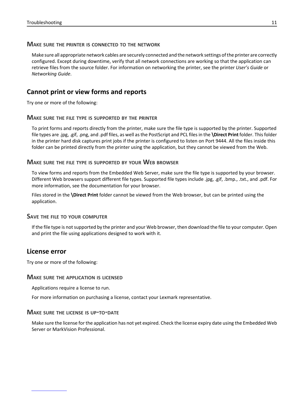#### **MAKE SURE THE PRINTER IS CONNECTED TO THE NETWORK**

Make sure all appropriate network cables are securely connected and the network settings of the printer are correctly configured. Except during downtime, verify that all network connections are working so that the application can retrieve files from the source folder. For information on networking the printer, see the printer *User's Guide* or *Networking Guide*.

#### **Cannot print or view forms and reports**

Try one or more of the following:

#### **MAKE SURE THE FILE TYPE IS SUPPORTED BY THE PRINTER**

To print forms and reports directly from the printer, make sure the file type is supported by the printer. Supported file types are .jpg, .gif, .png, and .pdf files, as well as the PostScript and PCL files in the **\Direct Print** folder. This folder in the printer hard disk captures print jobs if the printer is configured to listen on Port 9444. All the files inside this folder can be printed directly from the printer using the application, but they cannot be viewed from the Web.

#### **MAKE SURE THE FILE TYPE IS SUPPORTED BY YOUR WEB BROWSER**

To view forms and reports from the Embedded Web Server, make sure the file type is supported by your browser. Different Web browsers support different file types. Supported file types include .jpg, .gif, .bmp., .txt., and .pdf. For more information, see the documentation for your browser.

Files stored in the **\Direct Print** folder cannot be viewed from the Web browser, but can be printed using the application.

#### **SAVE THE FILE TO YOUR COMPUTER**

If the file type is not supported by the printer and your Web browser, then download the file to your computer. Open and print the file using applications designed to work with it.

#### **License error**

Try one or more of the following:

#### **MAKE SURE THE APPLICATION IS LICENSED**

Applications require a license to run.

For more information on purchasing a license, contact your Lexmark representative.

#### **MAKE SURE THE LICENSE IS UP**‑**TO**‑**DATE**

Make sure the license for the application has not yet expired. Check the license expiry date using the Embedded Web Server or MarkVision Professional.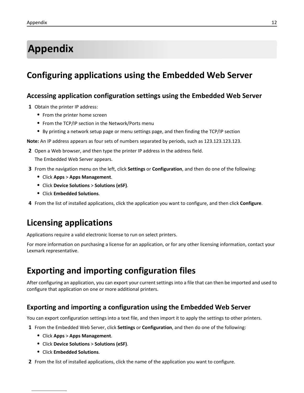## **Appendix**

## **Configuring applications using the Embedded Web Server**

#### **Accessing application configuration settings using the Embedded Web Server**

- **1** Obtain the printer IP address:
	- **•** From the printer home screen
	- **•** From the TCP/IP section in the Network/Ports menu
	- **•** By printing a network setup page or menu settings page, and then finding the TCP/IP section

**Note:** An IP address appears as four sets of numbers separated by periods, such as 123.123.123.123.

**2** Open a Web browser, and then type the printer IP address in the address field.

The Embedded Web Server appears.

- **3** From the navigation menu on the left, click **Settings** or **Configuration**, and then do one of the following:
	- **•** Click **Apps** > **Apps Management**.
	- **•** Click **Device Solutions** > **Solutions (eSF)**.
	- **•** Click **Embedded Solutions**.
- **4** From the list of installed applications, click the application you want to configure, and then click **Configure**.

## **Licensing applications**

Applications require a valid electronic license to run on select printers.

For more information on purchasing a license for an application, or for any other licensing information, contact your Lexmark representative.

## **Exporting and importing configuration files**

After configuring an application, you can export your current settings into a file that can then be imported and used to configure that application on one or more additional printers.

#### **Exporting and importing a configuration using the Embedded Web Server**

You can export configuration settings into a text file, and then import it to apply the settings to other printers.

- **1** From the Embedded Web Server, click **Settings** or **Configuration**, and then do one of the following:
	- **•** Click **Apps** > **Apps Management**.
	- **•** Click **Device Solutions** > **Solutions (eSF)**.
	- **•** Click **Embedded Solutions**.
- **2** From the list of installed applications, click the name of the application you want to configure.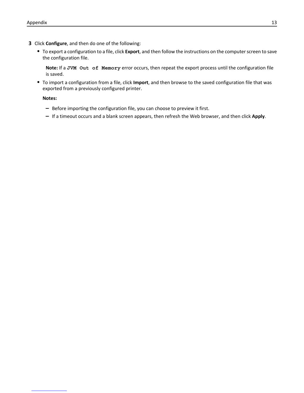- **3** Click **Configure**, and then do one of the following:
	- **•** To export a configuration to a file, click **Export**, and then follow the instructions on the computer screen to save the configuration file.

**Note:** If a **JVM Out of Memory** error occurs, then repeat the export process until the configuration file is saved.

**•** To import a configuration from a file, click **Import**, and then browse to the saved configuration file that was exported from a previously configured printer.

**Notes:**

- **–** Before importing the configuration file, you can choose to preview it first.
- **–** If a timeout occurs and a blank screen appears, then refresh the Web browser, and then click **Apply**.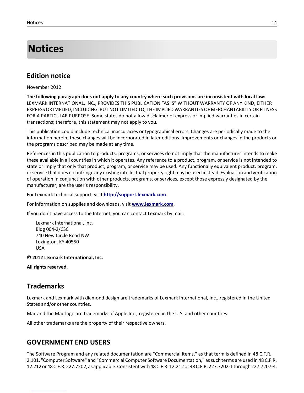## **Notices**

#### **Edition notice**

November 2012

**The following paragraph does not apply to any country where such provisions are inconsistent with local law:** LEXMARK INTERNATIONAL, INC., PROVIDES THIS PUBLICATION "AS IS" WITHOUT WARRANTY OF ANY KIND, EITHER EXPRESS OR IMPLIED, INCLUDING, BUT NOT LIMITED TO, THE IMPLIED WARRANTIES OF MERCHANTABILITY OR FITNESS FOR A PARTICULAR PURPOSE. Some states do not allow disclaimer of express or implied warranties in certain transactions; therefore, this statement may not apply to you.

This publication could include technical inaccuracies or typographical errors. Changes are periodically made to the information herein; these changes will be incorporated in later editions. Improvements or changes in the products or the programs described may be made at any time.

References in this publication to products, programs, or services do not imply that the manufacturer intends to make these available in all countries in which it operates. Any reference to a product, program, or service is not intended to state or imply that only that product, program, or service may be used. Any functionally equivalent product, program, or service that does not infringe any existing intellectual property right may be used instead. Evaluation and verification of operation in conjunction with other products, programs, or services, except those expressly designated by the manufacturer, are the user's responsibility.

For Lexmark technical support, visit **http://support.lexmark.com**.

For information on supplies and downloads, visit **www.lexmark.com**.

If you don't have access to the Internet, you can contact Lexmark by mail:

Lexmark International, Inc. Bldg 004-2/CSC 740 New Circle Road NW Lexington, KY 40550 USA

**© 2012 Lexmark International, Inc.**

**All rights reserved.**

#### **Trademarks**

Lexmark and Lexmark with diamond design are trademarks of Lexmark International, Inc., registered in the United States and/or other countries.

Mac and the Mac logo are trademarks of Apple Inc., registered in the U.S. and other countries.

All other trademarks are the property of their respective owners.

#### **GOVERNMENT END USERS**

The Software Program and any related documentation are "Commercial Items," as that term is defined in 48 C.F.R. 2.101, "Computer Software" and "Commercial Computer Software Documentation," as such terms are used in 48 C.F.R. 12.212 or 48 C.F.R. 227.7202, as applicable. Consistent with 48 C.F.R. 12.212 or 48 C.F.R. 227.7202-1 through 227.7207-4,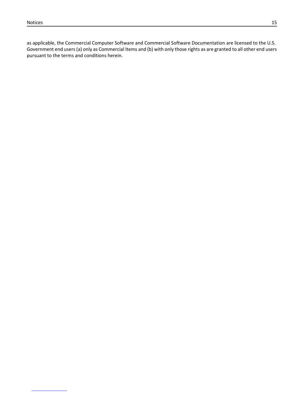as applicable, the Commercial Computer Software and Commercial Software Documentation are licensed to the U.S. Government end users (a) only as Commercial Items and (b) with only those rights as are granted to all other end users pursuant to the terms and conditions herein.